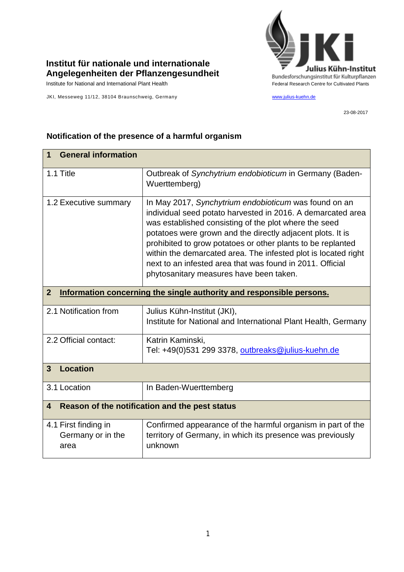

## **Institut für nationale und internationale Angelegenheiten der Pflanzengesundheit**

Institute for National and International Plant Health Feature And Theorem Federal Research Centre for Cultivated Plants

JKI, Messeweg 11/12, 38104 Braunschweig, Germany [www.julius-kuehn.de](http://www.julius-kuehn.de/)

23-08-2017

## **1 General information** 1.1 Title **Contract Contract Contract Contract Contract Contract Contract Contract Contract Contract Contract Contract Contract Contract Contract Contract Contract Contract Contract Contract Contract Contract Contract Cont** Wuerttemberg) 1.2 Executive summary | In May 2017, *Synchytrium endobioticum* was found on an individual seed potato harvested in 2016. A demarcated area was established consisting of the plot where the seed potatoes were grown and the directly adjacent plots. It is prohibited to grow potatoes or other plants to be replanted within the demarcated area. The infested plot is located right next to an infested area that was found in 2011. Official phytosanitary measures have been taken. **2 Information concerning the single authority and responsible persons.** 2.1 Notification from  $\vert$  Julius Kühn-Institut (JKI), Institute for National and International Plant Health, Germany 2.2 Official contact: Katrin Kaminski, Tel: +49(0)531 299 3378, [outbreaks@julius-kuehn.de](mailto:outbreaks@julius-kuehn.de) **3 Location**  3.1 Location | In Baden-Wuerttemberg **4 Reason of the notification and the pest status** 4.1 First finding in Germany or in the area Confirmed appearance of the harmful organism in part of the territory of Germany, in which its presence was previously unknown

## **Notification of the presence of a harmful organism**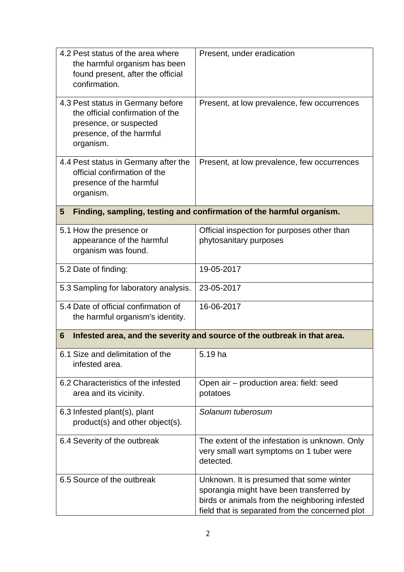| 4.2 Pest status of the area where<br>the harmful organism has been<br>found present, after the official<br>confirmation.                 | Present, under eradication                                                                                                                                                                |
|------------------------------------------------------------------------------------------------------------------------------------------|-------------------------------------------------------------------------------------------------------------------------------------------------------------------------------------------|
| 4.3 Pest status in Germany before<br>the official confirmation of the<br>presence, or suspected<br>presence, of the harmful<br>organism. | Present, at low prevalence, few occurrences                                                                                                                                               |
| 4.4 Pest status in Germany after the<br>official confirmation of the<br>presence of the harmful<br>organism.                             | Present, at low prevalence, few occurrences                                                                                                                                               |
| Finding, sampling, testing and confirmation of the harmful organism.<br>5                                                                |                                                                                                                                                                                           |
| 5.1 How the presence or<br>appearance of the harmful<br>organism was found.                                                              | Official inspection for purposes other than<br>phytosanitary purposes                                                                                                                     |
| 5.2 Date of finding:                                                                                                                     | 19-05-2017                                                                                                                                                                                |
| 5.3 Sampling for laboratory analysis.                                                                                                    | 23-05-2017                                                                                                                                                                                |
| 5.4 Date of official confirmation of<br>the harmful organism's identity.                                                                 | 16-06-2017                                                                                                                                                                                |
| Infested area, and the severity and source of the outbreak in that area.<br>6                                                            |                                                                                                                                                                                           |
| 6.1 Size and delimitation of the<br>infested area.                                                                                       | 5.19 ha                                                                                                                                                                                   |
| 6.2 Characteristics of the infested<br>area and its vicinity.                                                                            | Open air - production area: field: seed<br>potatoes                                                                                                                                       |
| 6.3 Infested plant(s), plant<br>product(s) and other object(s).                                                                          | Solanum tuberosum                                                                                                                                                                         |
| 6.4 Severity of the outbreak                                                                                                             | The extent of the infestation is unknown. Only<br>very small wart symptoms on 1 tuber were<br>detected.                                                                                   |
| 6.5 Source of the outbreak                                                                                                               | Unknown. It is presumed that some winter<br>sporangia might have been transferred by<br>birds or animals from the neighboring infested<br>field that is separated from the concerned plot |